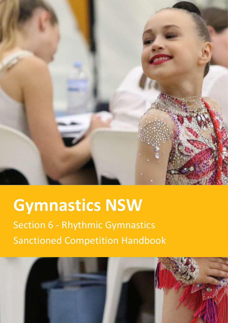

# **Gymnastics NSW**

Section 6 - Rhythmic Gymnastics Sanctioned Competition Handbook

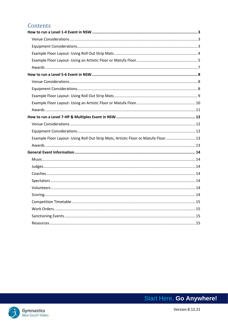### Contents

| Example Floor Layout- Using Roll Out Strip Mats, Artistic Floor or Matufa Floor 13 |
|------------------------------------------------------------------------------------|
|                                                                                    |
|                                                                                    |
|                                                                                    |
|                                                                                    |
|                                                                                    |
|                                                                                    |
|                                                                                    |
|                                                                                    |
|                                                                                    |
|                                                                                    |
|                                                                                    |
|                                                                                    |

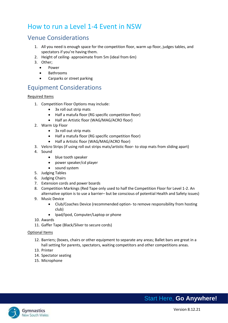### <span id="page-2-0"></span>How to run a Level 1-4 Event in NSW

### <span id="page-2-1"></span>Venue Considerations

- 1. All you need is enough space for the competition floor, warm up floor, judges tables, and spectators if you're having them.
- 2. Height of ceiling- approximate from 5m (ideal from 6m)
- 3. Other;
	- Power
	- Bathrooms
	- Carparks or street parking

### <span id="page-2-2"></span>Equipment Considerations

#### Required Items

- 1. Competition Floor Options may include:
	- 3x roll out strip mats
	- Half a matufa floor (RG specific competition floor)
	- Half an Artistic floor (WAG/MAG/ACRO floor)
- 2. Warm Up Floor
	- 3x roll out strip mats
	- Half a matufa floor (RG specific competition floor)
	- Half a Artistic floor (WAG/MAG/ACRO floor)
- 3. Velcro Strips (if using roll out strips mats/artistic floor- to stop mats from sliding apart)
- 4. Sound
	- blue tooth speaker
	- power speaker/cd player
	- sound system
- 5. Judging Tables
- 6. Judging Chairs
- 7. Extension cords and power boards
- 8. Competition Markings (Red Tape only used to half the Competition Floor for Level 1-2. An alternative option is to use a barrier– but be conscious of potential Health and Safety issues)
- 9. Music Device
	- Club/Coaches Device (recommended option- to remove responsibility from hosting club)
	- Ipad/Ipod, Computer/Laptop or phone
- 10. Awards
- 11. Gaffer Tape (Black/Silver to secure cords)

#### Optional Items

- 12. Barriers; (boxes, chairs or other equipment to separate any areas; Ballet bars are great in a hall setting for parents, spectators, waiting competitors and other competitions areas.
- 13. Printer
- 14. Spectator seating
- 15. Microphone

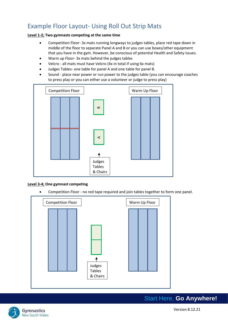### <span id="page-3-0"></span>Example Floor Layout- Using Roll Out Strip Mats

#### **Level 1-2; Two gymnasts competing at the same time**

- Competition Floor- 3x mats running longways to judges tables, place red tape down in middle of the floor to separate Panel A and B or you can use boxes/other equipment that you have in the gym. However, be conscious of potential Health and Safety issues.
- Warm up Floor- 3x mats behind the judges tables
- Velcro all mats must have Velcro (4x in total if using 6x mats)
- Judges Tables- one table for panel A and one table for panel B.
- Sound place near power or run power to the judges table (you can encourage coaches to press play or you can either use a volunteer or judge to press play)



#### **Level 3-4; One gymnast competing**

• Competition Floor - no red tape required and join tables together to form one panel.



Gymnastics New South Wales

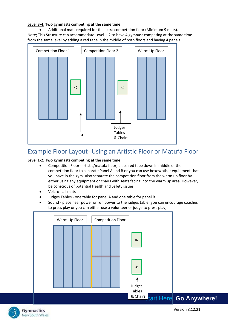#### **Level 3-4; Two gymnasts competing at the same time**

• Additional mats required for the extra competition floor (Minimum 9 mats). Note; This Structure can accommodate Level 1-2 to have 4 gymnast competing at the same time from the same level by adding a red tape in the middle of both floors and having 4 panels.



### <span id="page-4-0"></span>Example Floor Layout- Using an Artistic Floor or Matufa Floor

#### **Level 1-2; Two gymnasts competing at the same time**

- Competition Floor- artistic/matufa floor, place red tape down in middle of the competition floor to separate Panel A and B or you can use boxes/other equipment that you have in the gym. Also separate the competition floor from the warm up floor by either using any equipment or chairs with seats facing into the warm up area. However, be conscious of potential Health and Safety issues.
- Velcro all mats
- Judges Tables one table for panel A and one table for panel B.
- Sound place near power or run power to the judges table (you can encourage coaches to press play or you can either use a volunteer or judge to press play)



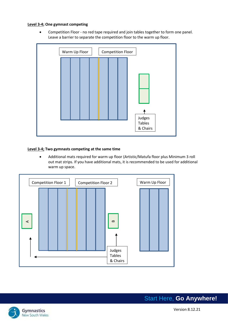#### **Level 3-4; One gymnast competing**

• Competition Floor - no red tape required and join tables together to form one panel. Leave a barrier to separate the competition floor to the warm up floor.



#### **Level 3-4; Two gymnasts competing at the same time**

• Additional mats required for warm up floor (Artistic/Matufa floor plus Minimum 3 roll out mat strips. If you have additional mats, it is recommended to be used for additional warm up space.



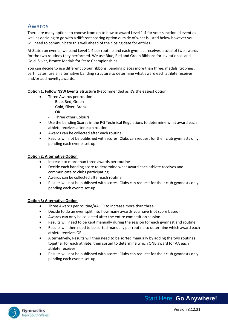### <span id="page-6-0"></span>Awards

There are many options to choose from on to how to award Level 1-4 for your sanctioned event as well as deciding to go with a different scoring option outside of what is listed below however you will need to communicate this well ahead of the closing date for entries.

At State run events, we band Level 1-4 per routine and each gymnast receives a total of two awards for the two routines they performed. We use Blue, Red and Green Ribbons for Invitationals and Gold, Silver, Bronze Medals for State Championships.

You can decide to use different colour ribbons, banding places more than three, medals, trophies, certificates, use an alternative banding structure to determine what award each athlete receives and/or add novelty awards.

**Option 1: Follow NSW Events Structure (Recommended as it's the easiest option)** 

- Three Awards per routine
	- Blue, Red, Green
	- Gold, Silver, Bronze
	- OR
	- Three other Colours
- Use the banding Scores in the RG Technical Regulations to determine what award each athlete receives after each routine
- Awards can be collected after each routine
- Results will not be published with scores. Clubs can request for their club gymnasts only pending each events set-up.

#### **Option 2: Alternative Option**

- Increase to more than three awards per routine
- Decide each banding score to determine what award each athlete receives and communicate to clubs participating
- Awards can be collected after each routine
- Results will not be published with scores. Clubs can request for their club gymnasts only pending each events set-up.

#### **Option 3: Alternative Option**

- Three Awards per routine/AA OR to increase more than three
- Decide to do an even split into how many awards you have (not score based)
- Awards can only be collected after the entire competition session
- Results will need to be kept manually during the session for each gymnast and routine
- Results will then need to be sorted manually per routine to determine which award each athlete receives OR
- Alternatively, Results will then need to be sorted manually by adding the two routines together for each athlete, then sorted to determine which ONE award for AA each athlete receives
- Results will not be published with scores. Clubs can request for their club gymnasts only pending each events set-up.

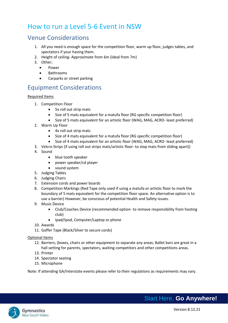### <span id="page-7-0"></span>How to run a Level 5-6 Event in NSW

### <span id="page-7-1"></span>Venue Considerations

- 1. All you need is enough space for the competition floor, warm up floor, judges tables, and spectators if your having them.
- 2. Height of ceiling- Approximate from 6m (ideal from 7m)
- 3. Other;
	- Power
	- Bathrooms
	- Carparks or street parking

### <span id="page-7-2"></span>Equipment Considerations

#### Required Items

- 1. Competition Floor
	- 5x roll out strip mats
	- Size of 5 mats equivalent for a matufa floor (RG specific competition floor)
	- Size of 5 mats equivalent for an artistic floor (WAG, MAG, ACRO- least preferred)
- 2. Warm Up Floor
	- 4x roll out strip mats
	- Size of 4 mats equivalent for a matufa floor (RG specific competition floor)
	- Size of 4 mats equivalent for an artistic floor (WAG, MAG, ACRO- least preferred)
- 3. Velcro Strips (if using roll out strips mats/artistic floor- to stop mats from sliding apart))
- 4. Sound
	- blue tooth speaker
	- power speaker/cd player
	- sound system
- 5. Judging Tables
- 6. Judging Chairs
- 7. Extension cords and power boards
- 8. Competition Markings (Red Tape only used if using a matufa or artistic floor to mark the boundary of 5 mats equivalent for the competition floor space. An alternative option is to use a barrier) However, be conscious of potential Health and Safety issues.
- 9. Music Device
	- Club/Coaches Device (recommended option- to remove responsibility from hosting club)
	- Ipad/Ipod, Computer/Laptop or phone
- 10. Awards
- 11. Gaffer Tape (Black/Silver to secure cords)

#### Optional Items

- 12. Barriers; (boxes, chairs or other equipment to separate any areas; Ballet bars are great in a hall setting for parents, spectators, waiting competitors and other competitions areas.
- 13. Printer
- 14. Spectator seating
- 15. Microphone

Note: If attending GA/Interstate events please refer to their regulations as requirements may vary.

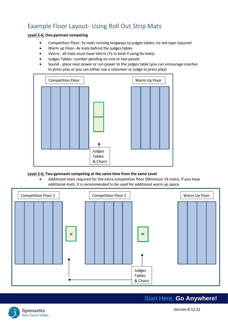### <span id="page-8-0"></span>Example Floor Layout- Using Roll Out Strip Mats

#### **Level 5-6; One gymnast competing**

- Competition Floor- 5x mats running longways to judges tables, no red tape required
- Warm up Floor- 4x mats behind the judges tables
- Velcro all mats must have Velcro (7x in total if using 9x mats)
- Judges Tables- number pending on one or two panels
- Sound place near power or run power to the judges table (you can encourage coaches to press play or you can either use a volunteer or judge to press play)



### **Level 5-6; Two gymnasts competing at the same time from the same Level**

• Additional mats required for the extra competition floor (Minimum 14 mats). If you have additional mats, it is recommended to be used for additional warm up space.



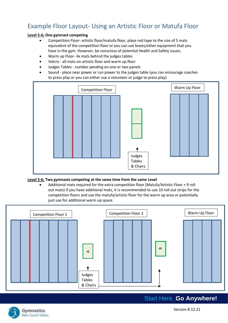### <span id="page-9-0"></span>Example Floor Layout- Using an Artistic Floor or Matufa Floor

#### **Level 5-6; One gymnast competing**

- Competition Floor- artistic floor/matufa floor, place red tape to the size of 5 mats equivalent of the competition floor or you can use boxes/other equipment that you have in the gym. However, be conscious of potential Health and Safety issues.
- Warm up Floor- 4x mats behind the judges tables
- Velcro all mats on artistic floor and warm up floor
- Judges Tables number pending on one or two panels
- Sound place near power or run power to the judges table (you can encourage coaches to press play or you can either use a volunteer or judge to press play)



#### **Level 5-6; Two gymnasts competing at the same time from the same Level**

• Additional mats required for the extra competition floor (Matufa/Artistic Floor + 9 roll out mats) If you have additional mats, it is recommended to use 10 roll out strips for the competition floors and use the matufa/artistic floor for the warm up area or potentially just use for additional warm up space.



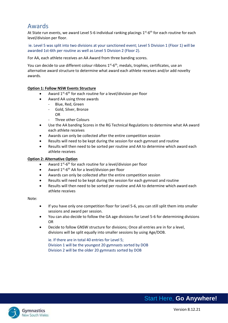### <span id="page-10-0"></span>Awards

At State run events, we award Level 5-6 individual ranking placings 1<sup>st</sup>-6<sup>th</sup> for each routine for each level/division per floor.

ie. Level 5 was split into two divisions at your sanctioned event; Level 5 Division 1 (Floor 1) will be awarded 1st-6th per routine as well as Level 5 Division 2 (Floor 2).

For AA, each athlete receives an AA Award from three banding scores.

You can decide to use different colour ribbons 1<sup>st</sup>-6<sup>th</sup>, medals, trophies, certificates, use an alternative award structure to determine what award each athlete receives and/or add novelty awards.

#### **Option 1: Follow NSW Events Structure**

- Award  $1^{st}$ -6<sup>th</sup> for each routine for a level/division per floor
	- Award AA using three awards
		- Blue, Red, Green
		- Gold, Silver, Bronze
			- OR
		- Three other Colours
- Use the AA banding Scores in the RG Technical Regulations to determine what AA award each athlete receives
- Awards can only be collected after the entire competition session
- Results will need to be kept during the session for each gymnast and routine
- Results will then need to be sorted per routine and AA to determine which award each athlete receives

#### **Option 2: Alternative Option**

- Award  $1^{st}$ -6<sup>th</sup> for each routine for a level/division per floor
- Award  $1^{st}$ -6<sup>th</sup> AA for a level/division per floor
- Awards can only be collected after the entire competition session
- Results will need to be kept during the session for each gymnast and routine
- Results will then need to be sorted per routine and AA to determine which award each athlete receives

#### Note:

- If you have only one competition floor for Level 5-6, you can still split them into smaller sessions and award per session.
- You can also decide to follow the GA age divisions for Level 5-6 for determining divisions OR
- Decide to follow GNSW structure for divisions; Once all entries are in for a level, divisions will be split equally into smaller sessions by using Age/DOB.

ie. If there are in total 40 entries for Level 5; Division 1 will be the youngest 20 gymnasts sorted by DOB Division 2 will be the older 20 gymnasts sorted by DOB

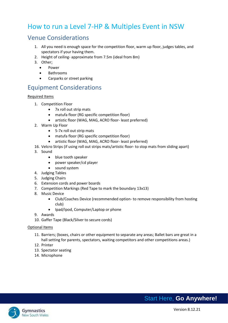### <span id="page-11-0"></span>How to run a Level 7-HP & Multiples Event in NSW

### <span id="page-11-1"></span>Venue Considerations

- 1. All you need is enough space for the competition floor, warm up floor, judges tables, and spectators if your having them.
- 2. Height of ceiling- approximate from 7.5m (ideal from 8m)
- 3. Other;
	- Power
	- Bathrooms
	- Carparks or street parking

### <span id="page-11-2"></span>Equipment Considerations

#### Required Items

- 1. Competition Floor
	- 7x roll out strip mats
	- matufa floor (RG specific competition floor)
	- artistic floor (WAG, MAG, ACRO floor- least preferred)
- 2. Warm Up Floor
	- 5-7x roll out strip mats
	- matufa floor (RG specific competition floor)
	- artistic floor (WAG, MAG, ACRO floor- least preferred)
- 16. Velcro Strips (if using roll out strips mats/artistic floor- to stop mats from sliding apart)
- 3. Sound
	- blue tooth speaker
	- power speaker/cd player
	- sound system
- 4. Judging Tables
- 5. Judging Chairs
- 6. Extension cords and power boards
- 7. Competition Markings (Red Tape to mark the boundary 13x13)
- 8. Music Device
	- Club/Coaches Device (recommended option- to remove responsibility from hosting club)
	- Ipad/Ipod, Computer/Laptop or phone
- 9. Awards
- 10. Gaffer Tape (Black/Silver to secure cords)

#### Optional Items

- 11. Barriers; (boxes, chairs or other equipment to separate any areas; Ballet bars are great in a hall setting for parents, spectators, waiting competitors and other competitions areas.)
- 12. Printer
- 13. Spectator seating
- 14. Microphone

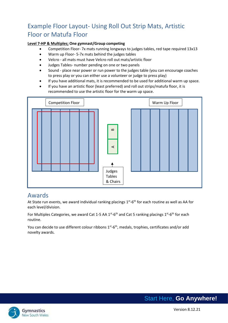### <span id="page-12-0"></span>Example Floor Layout- Using Roll Out Strip Mats, Artistic Floor or Matufa Floor

#### **Level 7-HP & Multiples; One gymnast/Group competing**

- Competition Floor- 7x mats running longways to judges tables, red tape required 13x13
- Warm up Floor- 5-7x mats behind the judges tables
- Velcro all mats must have Velcro roll out mats/artistic floor
- Judges Tables- number pending on one or two panels
- Sound place near power or run power to the judges table (you can encourage coaches to press play or you can either use a volunteer or judge to press play)
- If you have additional mats, it is recommended to be used for additional warm up space.
- If you have an artistic floor (least preferred) and roll out strips/matufa floor, it is recommended to use the artistic floor for the warm up space.



### <span id="page-12-1"></span>Awards

At State run events, we award individual ranking placings 1<sup>st</sup>-6<sup>th</sup> for each routine as well as AA for each level/division.

For Multiples Categories, we award Cat 1-5 AA 1<sup>st</sup>-6<sup>th</sup> and Cat 5 ranking placings 1<sup>st</sup>-6<sup>th</sup> for each routine.

You can decide to use different colour ribbons 1<sup>st</sup>-6<sup>th</sup>, medals, trophies, certificates and/or add novelty awards.

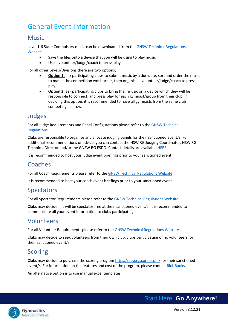## <span id="page-13-0"></span>General Event Information

### <span id="page-13-1"></span>Music

Level 1-6 State Compulsory music can be downloaded from th[e GNSW Technical Regulations](https://www.nswgymnastics.com.au/resources)  [Website.](https://www.nswgymnastics.com.au/resources)

- Save the files onto a device that you will be using to play music
- Use a volunteer/judge/coach to press play

For all other Levels/Divisions there are two options;

- **Option 1;** ask participating clubs to submit music by a due date, sort and order the music to match the competition work order, then organise a volunteer/judge/coach to press play
- **Option 2;** ask participating clubs to bring their music on a device which they will be responsible to connect, and press play for each gymnast/group from their club. If deciding this option, it is recommended to have all gymnasts from the same club competing in a row.

### <span id="page-13-2"></span>Judges

For all Judge Requirements and Panel Configurations please refer to the [GNSW Technical](https://www.nswgymnastics.com.au/)  [Regulations.](https://www.nswgymnastics.com.au/)

Clubs are responsible to organise and allocate judging panels for their sanctioned event/s. For additional recommendations or advice, you can contact the NSW RG Judging Coordinator, NSW RG Technical Director and/or the GNSW RG ESDO. Contact details are available [HERE.](http://www.gymnsw.org.au/NSW/Members/Rhythmic_Gymnastics/Gymsport_Committee/NSW/Gymsports/Rhythmic/_Management_Committee.aspx?hkey=b4d32d80-62a2-462b-8738-8f368d04baf8)

It is recommended to host your judge event briefings prior to your sanctioned event.

### <span id="page-13-3"></span>Coaches

For all Coach Requirements please refer to the [GNSW Technical Regulations](https://www.nswgymnastics.com.au/) Website.

It is recommended to host your coach event briefings prior to your sanctioned event.

### <span id="page-13-4"></span>**Spectators**

For all Spectator Requirements please refer to the GNSW [Technical Regulations](https://www.nswgymnastics.com.au/) Website.

Clubs may decide if it will be spectator free at their sanctioned event/s. It is recommended to communicate all your event information to clubs participating.

### <span id="page-13-5"></span>Volunteers

For all Volunteer Requirements please refer to th[e GNSW Technical Regulations Website.](https://www.nswgymnastics.com.au/)

Clubs may decide to seek volunteers from their own club, clubs participating or no volunteers for their sanctioned event/s.

### <span id="page-13-6"></span>**Scoring**

Clubs may decide to purchase the scoring progra[m https://app.rgscores.com/](https://app.rgscores.com/) for their sanctioned event/s. For information on the features and cost of the program, please contac[t Rick Banks.](mailto:rbanks54@msn.com)

An alternative option is to use manual excel templates.